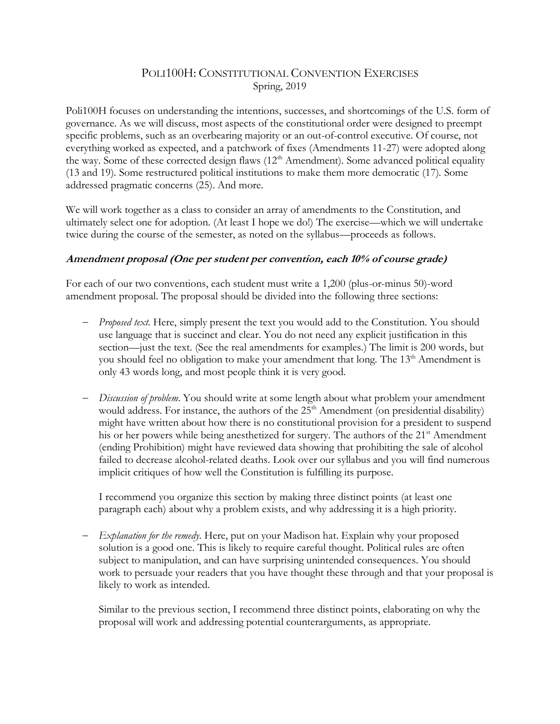# POLI100H: CONSTITUTIONAL CONVENTION EXERCISES Spring, 2019

Poli100H focuses on understanding the intentions, successes, and shortcomings of the U.S. form of governance. As we will discuss, most aspects of the constitutional order were designed to preempt specific problems, such as an overbearing majority or an out-of-control executive. Of course, not everything worked as expected, and a patchwork of fixes (Amendments 11-27) were adopted along the way. Some of these corrected design flaws  $(12<sup>th</sup> Amendment)$ . Some advanced political equality (13 and 19). Some restructured political institutions to make them more democratic (17). Some addressed pragmatic concerns (25). And more.

We will work together as a class to consider an array of amendments to the Constitution, and ultimately select one for adoption. (At least I hope we do!) The exercise—which we will undertake twice during the course of the semester, as noted on the syllabus—proceeds as follows.

#### **Amendment proposal (One per student per convention, each 10% of course grade)**

For each of our two conventions, each student must write a 1,200 (plus-or-minus 50)-word amendment proposal. The proposal should be divided into the following three sections:

- − *Proposed text*. Here, simply present the text you would add to the Constitution. You should use language that is succinct and clear. You do not need any explicit justification in this section—just the text. (See the real amendments for examples.) The limit is 200 words, but you should feel no obligation to make your amendment that long. The 13<sup>th</sup> Amendment is only 43 words long, and most people think it is very good.
- − *Discussion of problem*. You should write at some length about what problem your amendment would address. For instance, the authors of the 25<sup>th</sup> Amendment (on presidential disability) might have written about how there is no constitutional provision for a president to suspend his or her powers while being anesthetized for surgery. The authors of the 21<sup>st</sup> Amendment (ending Prohibition) might have reviewed data showing that prohibiting the sale of alcohol failed to decrease alcohol-related deaths. Look over our syllabus and you will find numerous implicit critiques of how well the Constitution is fulfilling its purpose.

I recommend you organize this section by making three distinct points (at least one paragraph each) about why a problem exists, and why addressing it is a high priority.

− *Explanation for the remedy*. Here, put on your Madison hat. Explain why your proposed solution is a good one. This is likely to require careful thought. Political rules are often subject to manipulation, and can have surprising unintended consequences. You should work to persuade your readers that you have thought these through and that your proposal is likely to work as intended.

Similar to the previous section, I recommend three distinct points, elaborating on why the proposal will work and addressing potential counterarguments, as appropriate.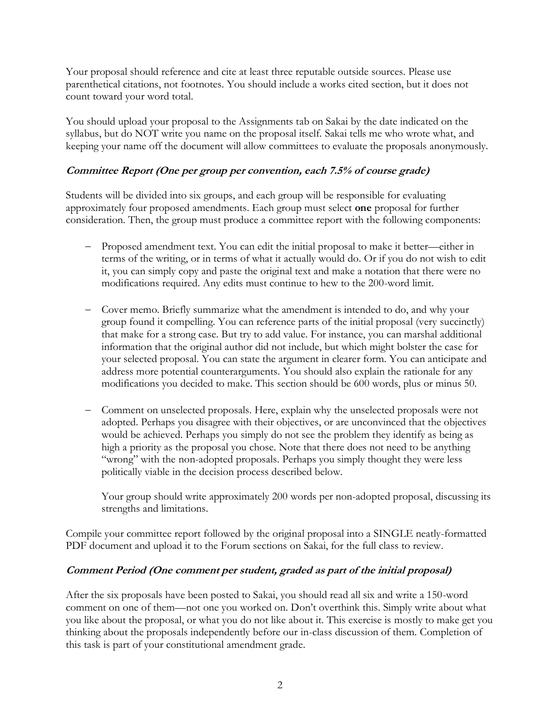Your proposal should reference and cite at least three reputable outside sources. Please use parenthetical citations, not footnotes. You should include a works cited section, but it does not count toward your word total.

You should upload your proposal to the Assignments tab on Sakai by the date indicated on the syllabus, but do NOT write you name on the proposal itself. Sakai tells me who wrote what, and keeping your name off the document will allow committees to evaluate the proposals anonymously.

## **Committee Report (One per group per convention, each 7.5% of course grade)**

Students will be divided into six groups, and each group will be responsible for evaluating approximately four proposed amendments. Each group must select **one** proposal for further consideration. Then, the group must produce a committee report with the following components:

- − Proposed amendment text. You can edit the initial proposal to make it better—either in terms of the writing, or in terms of what it actually would do. Or if you do not wish to edit it, you can simply copy and paste the original text and make a notation that there were no modifications required. Any edits must continue to hew to the 200-word limit.
- − Cover memo. Briefly summarize what the amendment is intended to do, and why your group found it compelling. You can reference parts of the initial proposal (very succinctly) that make for a strong case. But try to add value. For instance, you can marshal additional information that the original author did not include, but which might bolster the case for your selected proposal. You can state the argument in clearer form. You can anticipate and address more potential counterarguments. You should also explain the rationale for any modifications you decided to make. This section should be 600 words, plus or minus 50.
- − Comment on unselected proposals. Here, explain why the unselected proposals were not adopted. Perhaps you disagree with their objectives, or are unconvinced that the objectives would be achieved. Perhaps you simply do not see the problem they identify as being as high a priority as the proposal you chose. Note that there does not need to be anything "wrong" with the non-adopted proposals. Perhaps you simply thought they were less politically viable in the decision process described below.

Your group should write approximately 200 words per non-adopted proposal, discussing its strengths and limitations.

Compile your committee report followed by the original proposal into a SINGLE neatly-formatted PDF document and upload it to the Forum sections on Sakai, for the full class to review.

### **Comment Period (One comment per student, graded as part of the initial proposal)**

After the six proposals have been posted to Sakai, you should read all six and write a 150-word comment on one of them—not one you worked on. Don't overthink this. Simply write about what you like about the proposal, or what you do not like about it. This exercise is mostly to make get you thinking about the proposals independently before our in-class discussion of them. Completion of this task is part of your constitutional amendment grade.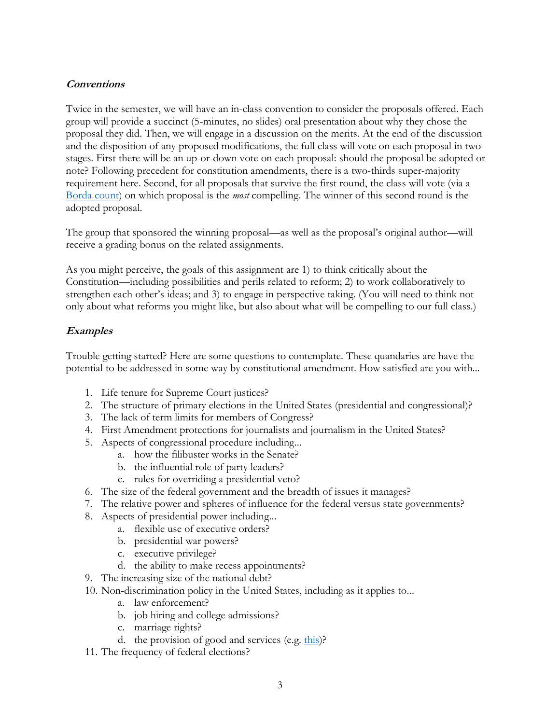### **Conventions**

Twice in the semester, we will have an in-class convention to consider the proposals offered. Each group will provide a succinct (5-minutes, no slides) oral presentation about why they chose the proposal they did. Then, we will engage in a discussion on the merits. At the end of the discussion and the disposition of any proposed modifications, the full class will vote on each proposal in two stages. First there will be an up-or-down vote on each proposal: should the proposal be adopted or note? Following precedent for constitution amendments, there is a two-thirds super-majority requirement here. Second, for all proposals that survive the first round, the class will vote (via a [Borda count\)](https://en.wikipedia.org/wiki/Borda_count) on which proposal is the *most* compelling. The winner of this second round is the adopted proposal.

The group that sponsored the winning proposal—as well as the proposal's original author—will receive a grading bonus on the related assignments.

As you might perceive, the goals of this assignment are 1) to think critically about the Constitution—including possibilities and perils related to reform; 2) to work collaboratively to strengthen each other's ideas; and 3) to engage in perspective taking. (You will need to think not only about what reforms you might like, but also about what will be compelling to our full class.)

### **Examples**

Trouble getting started? Here are some questions to contemplate. These quandaries are have the potential to be addressed in some way by constitutional amendment. How satisfied are you with...

- 1. Life tenure for Supreme Court justices?
- 2. The structure of primary elections in the United States (presidential and congressional)?
- 3. The lack of term limits for members of Congress?
- 4. First Amendment protections for journalists and journalism in the United States?
- 5. Aspects of congressional procedure including...
	- a. how the filibuster works in the Senate?
	- b. the influential role of party leaders?
	- c. rules for overriding a presidential veto?
- 6. The size of the federal government and the breadth of issues it manages?
- 7. The relative power and spheres of influence for the federal versus state governments?
- 8. Aspects of presidential power including...
	- a. flexible use of executive orders?
	- b. presidential war powers?
	- c. executive privilege?
	- d. the ability to make recess appointments?
- 9. The increasing size of the national debt?
- 10. Non-discrimination policy in the United States, including as it applies to...
	- a. law enforcement?
	- b. job hiring and college admissions?
	- c. marriage rights?
	- d. the provision of good and services (e.g. [this\)](https://en.wikipedia.org/wiki/Masterpiece_Cakeshop_v._Colorado_Civil_Rights_Commission)?
- 11. The frequency of federal elections?